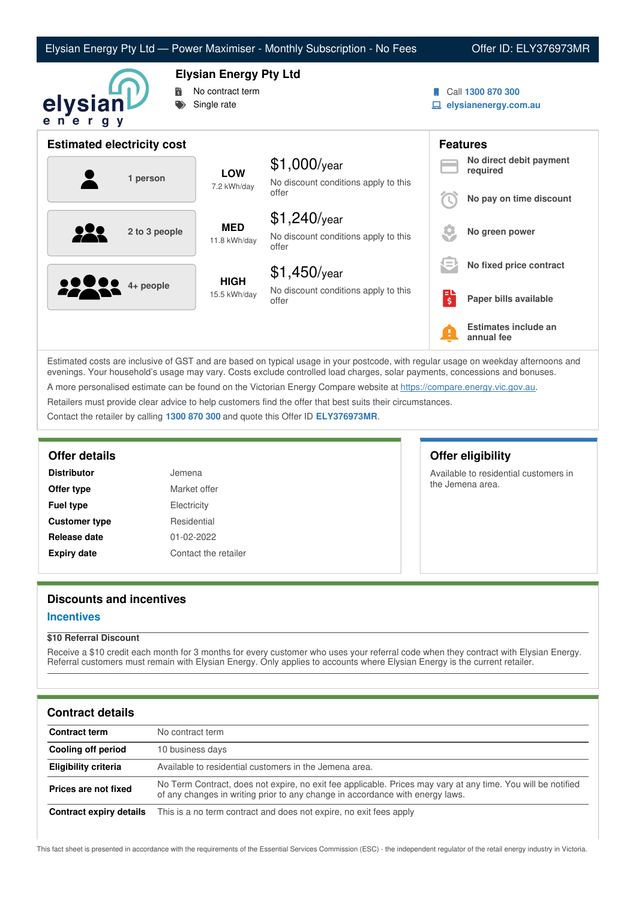| Elysian Energy Pty Ltd — Power Maximiser - Monthly Subscription - No Fees |  |  |  |
|---------------------------------------------------------------------------|--|--|--|
|---------------------------------------------------------------------------|--|--|--|

Offer ID: ELY376973MR



# **Elysian Energy Pty Ltd**

- **No contract term**
- Single rate
- Call **1300 870 300**
- **elysianenergy.com.au**

|          |             | <b>Estimated electricity cost</b>             |                                               |                                                                 |                                     | <b>Features</b>                    |
|----------|-------------|-----------------------------------------------|-----------------------------------------------|-----------------------------------------------------------------|-------------------------------------|------------------------------------|
| 1 person |             | <b>LOW</b>                                    | $$1,000$ /year                                |                                                                 | No direct debit payment<br>required |                                    |
|          | 7.2 kWh/day | No discount conditions apply to this<br>offer |                                               | No pay on time discount                                         |                                     |                                    |
|          |             | 2 to 3 people                                 | <b>MED</b><br>11.8 kWh/day                    | $$1,240$ /year<br>No discount conditions apply to this<br>offer |                                     | No green power                     |
|          |             |                                               |                                               | $$1,450$ /year                                                  | E                                   | No fixed price contract            |
| 2222     | 4+ people   | <b>HIGH</b><br>15.5 kWh/day                   | No discount conditions apply to this<br>offer | Е<br>$\overline{\boldsymbol{\xi}}$                              | Paper bills available               |                                    |
|          |             |                                               |                                               |                                                                 | A                                   | Estimates include an<br>annual fee |

Estimated costs are inclusive of GST and are based on typical usage in your postcode, with regular usage on weekday afternoons and evenings. Your household's usage may vary. Costs exclude controlled load charges, solar payments, concessions and bonuses. A more personalised estimate can be found on the Victorian Energy Compare website at <https://compare.energy.vic.gov.au>. Retailers must provide clear advice to help customers find the offer that best suits their circumstances.

Contact the retailer by calling **1300 870 300** and quote this Offer ID **ELY376973MR**.

| <b>Distributor</b>   | Jemena               |
|----------------------|----------------------|
| Offer type           | Market offer         |
| <b>Fuel type</b>     | Electricity          |
| <b>Customer type</b> | Residential          |
| Release date         | 01-02-2022           |
| <b>Expiry date</b>   | Contact the retailer |

# **Offer details Offer eligibility**

Available to residential customers in the Jemena area.

## **Discounts and incentives**

#### **Incentives**

#### **\$10 Referral Discount**

Receive a \$10 credit each month for 3 months for every customer who uses your referral code when they contract with Elysian Energy. Referral customers must remain with Elysian Energy. Only applies to accounts where Elysian Energy is the current retailer.

### **Contract details**

| <b>Contract term</b>    | No contract term                                                                                                                                                                              |
|-------------------------|-----------------------------------------------------------------------------------------------------------------------------------------------------------------------------------------------|
| Cooling off period      | 10 business days                                                                                                                                                                              |
| Eligibility criteria    | Available to residential customers in the Jemena area.                                                                                                                                        |
| Prices are not fixed    | No Term Contract, does not expire, no exit fee applicable. Prices may vary at any time. You will be notified<br>of any changes in writing prior to any change in accordance with energy laws. |
| Contract expiry details | This is a no term contract and does not expire, no exit fees apply                                                                                                                            |

This fact sheet is presented in accordance with the requirements of the Essential Services Commission (ESC) - the independent regulator of the retail energy industry in Victoria.